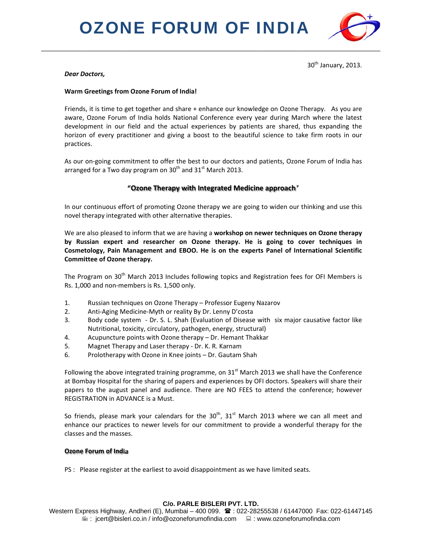# **OZONE FORUM OF INDIA**



 $30<sup>th</sup>$  January, 2013.

# **Dear Doctors,**

# Warm Greetings from Ozone Forum of India!

Friends, it is time to get together and share + enhance our knowledge on Ozone Therapy. As you are aware, Ozone Forum of India holds National Conference every year during March where the latest development in our field and the actual experiences by patients are shared, thus expanding the horizon of every practitioner and giving a boost to the beautiful science to take firm roots in our practices.

As our on-going commitment to offer the best to our doctors and patients, Ozone Forum of India has arranged for a Two day program on  $30^{th}$  and  $31^{st}$  March 2013.

# "Ozone Therapy with Integrated Medicine approach"

In our continuous effort of promoting Ozone therapy we are going to widen our thinking and use this novel therapy integrated with other alternative therapies.

We are also pleased to inform that we are having a workshop on newer techniques on Ozone therapy by Russian expert and researcher on Ozone therapy. He is going to cover techniques in Cosmetology, Pain Management and EBOO. He is on the experts Panel of International Scientific Committee of Ozone therapy.

The Program on 30<sup>th</sup> March 2013 Includes following topics and Registration fees for OFI Members is Rs. 1,000 and non-members is Rs. 1,500 only.

- $1.$ Russian techniques on Ozone Therapy - Professor Eugeny Nazarov
- $2.$ Anti-Aging Medicine-Myth or reality By Dr. Lenny D'costa
- $3.$ Body code system - Dr. S. L. Shah (Evaluation of Disease with six major causative factor like Nutritional, toxicity, circulatory, pathogen, energy, structural)
- $\overline{4}$ . Acupuncture points with Ozone therapy - Dr. Hemant Thakkar
- 5. Magnet Therapy and Laser therapy - Dr. K. R. Karnam
- 6. Prolotherapy with Ozone in Knee joints - Dr. Gautam Shah

Following the above integrated training programme, on  $31<sup>st</sup>$  March 2013 we shall have the Conference at Bombay Hospital for the sharing of papers and experiences by OFI doctors. Speakers will share their papers to the august panel and audience. There are NO FEES to attend the conference; however REGISTRATION in ADVANCE is a Must.

So friends, please mark your calendars for the  $30^{th}$ ,  $31^{st}$  March 2013 where we can all meet and enhance our practices to newer levels for our commitment to provide a wonderful therapy for the classes and the masses.

# **Ozone Forum of India**

PS : Please register at the earliest to avoid disappointment as we have limited seats.

# C/o. PARLE BISLERI PVT. LTD.